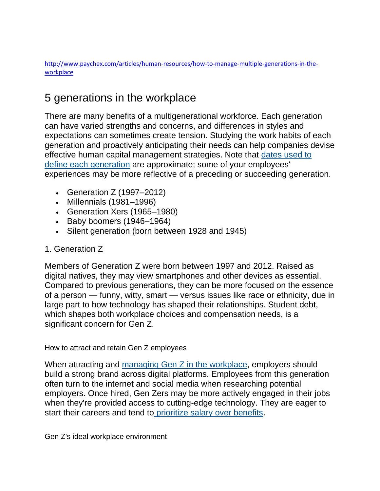[http://www.paychex.com/articles/human-resources/how-to-manage-multiple-generations-in-the](https://gcc02.safelinks.protection.outlook.com/?url=http%3A%2F%2Fwww.paychex.com%2Farticles%2Fhuman-resources%2Fhow-to-manage-multiple-generations-in-the-workplace&data=04%7C01%7Cbrian.eskridge%40ood.ohio.gov%7C4721ff65723c4b89878308da1420b11a%7C50f8fcc494d84f0784eb36ed57c7c8a2%7C0%7C0%7C637844427881346619%7CUnknown%7CTWFpbGZsb3d8eyJWIjoiMC4wLjAwMDAiLCJQIjoiV2luMzIiLCJBTiI6Ik1haWwiLCJXVCI6Mn0%3D%7C3000&sdata=IRsXko9XT3hwBCg59Bu%2BRBm%2FOjh3gxJqHfTYIV2wNEI%3D&reserved=0)[workplace](https://gcc02.safelinks.protection.outlook.com/?url=http%3A%2F%2Fwww.paychex.com%2Farticles%2Fhuman-resources%2Fhow-to-manage-multiple-generations-in-the-workplace&data=04%7C01%7Cbrian.eskridge%40ood.ohio.gov%7C4721ff65723c4b89878308da1420b11a%7C50f8fcc494d84f0784eb36ed57c7c8a2%7C0%7C0%7C637844427881346619%7CUnknown%7CTWFpbGZsb3d8eyJWIjoiMC4wLjAwMDAiLCJQIjoiV2luMzIiLCJBTiI6Ik1haWwiLCJXVCI6Mn0%3D%7C3000&sdata=IRsXko9XT3hwBCg59Bu%2BRBm%2FOjh3gxJqHfTYIV2wNEI%3D&reserved=0)

# 5 generations in the workplace

There are many benefits of a multigenerational workforce. Each generation can have varied strengths and concerns, and differences in styles and expectations can sometimes create tension. Studying the work habits of each generation and proactively anticipating their needs can help companies devise effective human capital management strategies. Note that [dates used to](https://www.pewresearch.org/fact-tank/2019/01/17/where-millennials-end-and-generation-z-begins/)  [define each generation](https://www.pewresearch.org/fact-tank/2019/01/17/where-millennials-end-and-generation-z-begins/) are approximate; some of your employees' experiences may be more reflective of a preceding or succeeding generation.

- Generation Z (1997–2012)
- Millennials (1981–1996)
- Generation Xers (1965–1980)
- Baby boomers (1946–1964)
- Silent generation (born between 1928 and 1945)

# 1. Generation Z

Members of Generation Z were born between 1997 and 2012. Raised as digital natives, they may view smartphones and other devices as essential. Compared to previous generations, they can be more focused on the essence of a person — funny, witty, smart — versus issues like race or ethnicity, due in large part to how technology has shaped their relationships. Student debt, which shapes both workplace choices and compensation needs, is a significant concern for Gen Z.

How to attract and retain Gen Z employees

When attracting and [managing Gen Z in the workplace,](https://www.paychex.com/articles/human-resources/generation-z-in-the-workplace-managing-upcoming-talent) employers should build a strong brand across digital platforms. Employees from this generation often turn to the internet and social media when researching potential employers. Once hired, Gen Zers may be more actively engaged in their jobs when they're provided access to cutting-edge technology. They are eager to start their careers and tend to [prioritize salary over benefits.](https://www.paychex.com/articles/human-resources/generation-z-myths)

Gen Z's ideal workplace environment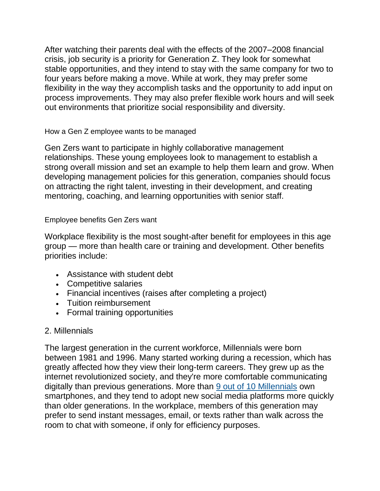After watching their parents deal with the effects of the 2007–2008 financial crisis, job security is a priority for Generation Z. They look for somewhat stable opportunities, and they intend to stay with the same company for two to four years before making a move. While at work, they may prefer some flexibility in the way they accomplish tasks and the opportunity to add input on process improvements. They may also prefer flexible work hours and will seek out environments that prioritize social responsibility and diversity.

# How a Gen Z employee wants to be managed

Gen Zers want to participate in highly collaborative management relationships. These young employees look to management to establish a strong overall mission and set an example to help them learn and grow. When developing management policies for this generation, companies should focus on attracting the right talent, investing in their development, and creating mentoring, coaching, and learning opportunities with senior staff.

# Employee benefits Gen Zers want

Workplace flexibility is the most sought-after benefit for employees in this age group — more than health care or training and development. Other benefits priorities include:

- Assistance with student debt
- Competitive salaries
- Financial incentives (raises after completing a project)
- Tuition reimbursement
- Formal training opportunities

# 2. Millennials

The largest generation in the current workforce, Millennials were born between 1981 and 1996. Many started working during a recession, which has greatly affected how they view their long-term careers. They grew up as the internet revolutionized society, and they're more comfortable communicating digitally than previous generations. More than [9 out of 10 Millennials](https://www.pewresearch.org/fact-tank/2019/09/09/us-generations-technology-use/) own smartphones, and they tend to adopt new social media platforms more quickly than older generations. In the workplace, members of this generation may prefer to send instant messages, email, or texts rather than walk across the room to chat with someone, if only for efficiency purposes.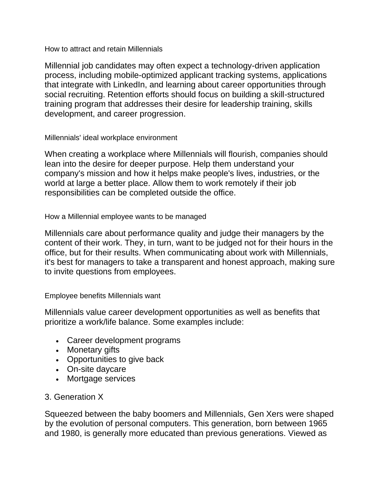How to attract and retain Millennials

Millennial job candidates may often expect a technology-driven application process, including mobile-optimized applicant tracking systems, applications that integrate with LinkedIn, and learning about career opportunities through social recruiting. Retention efforts should focus on building a skill-structured training program that addresses their desire for leadership training, skills development, and career progression.

#### Millennials' ideal workplace environment

When creating a workplace where Millennials will flourish, companies should lean into the desire for deeper purpose. Help them understand your company's mission and how it helps make people's lives, industries, or the world at large a better place. Allow them to work remotely if their job responsibilities can be completed outside the office.

How a Millennial employee wants to be managed

Millennials care about performance quality and judge their managers by the content of their work. They, in turn, want to be judged not for their hours in the office, but for their results. When communicating about work with Millennials, it's best for managers to take a transparent and honest approach, making sure to invite questions from employees.

#### Employee benefits Millennials want

Millennials value career development opportunities as well as benefits that prioritize a work/life balance. Some examples include:

- Career development programs
- Monetary gifts
- Opportunities to give back
- On-site daycare
- Mortgage services

# 3. Generation X

Squeezed between the baby boomers and Millennials, Gen Xers were shaped by the evolution of personal computers. This generation, born between 1965 and 1980, is generally more educated than previous generations. Viewed as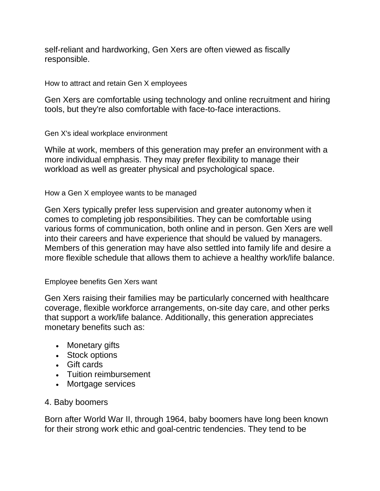self-reliant and hardworking, Gen Xers are often viewed as fiscally responsible.

How to attract and retain Gen X employees

Gen Xers are comfortable using technology and online recruitment and hiring tools, but they're also comfortable with face-to-face interactions.

Gen X's ideal workplace environment

While at work, members of this generation may prefer an environment with a more individual emphasis. They may prefer flexibility to manage their workload as well as greater physical and psychological space.

How a Gen X employee wants to be managed

Gen Xers typically prefer less supervision and greater autonomy when it comes to completing job responsibilities. They can be comfortable using various forms of communication, both online and in person. Gen Xers are well into their careers and have experience that should be valued by managers. Members of this generation may have also settled into family life and desire a more flexible schedule that allows them to achieve a healthy work/life balance.

#### Employee benefits Gen Xers want

Gen Xers raising their families may be particularly concerned with healthcare coverage, flexible workforce arrangements, on-site day care, and other perks that support a work/life balance. Additionally, this generation appreciates monetary benefits such as:

- Monetary gifts
- Stock options
- Gift cards
- Tuition reimbursement
- Mortgage services

# 4. Baby boomers

Born after World War II, through 1964, baby boomers have long been known for their strong work ethic and goal-centric tendencies. They tend to be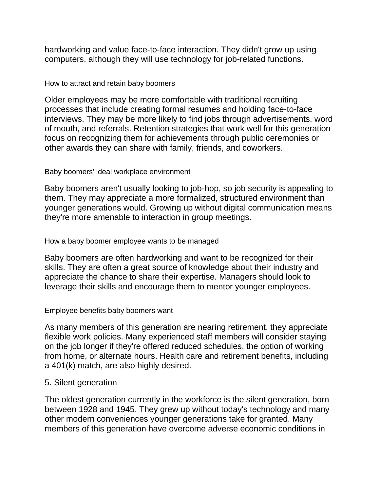hardworking and value face-to-face interaction. They didn't grow up using computers, although they will use technology for job-related functions.

#### How to attract and retain baby boomers

Older employees may be more comfortable with traditional recruiting processes that include creating formal resumes and holding face-to-face interviews. They may be more likely to find jobs through advertisements, word of mouth, and referrals. Retention strategies that work well for this generation focus on recognizing them for achievements through public ceremonies or other awards they can share with family, friends, and coworkers.

#### Baby boomers' ideal workplace environment

Baby boomers aren't usually looking to job-hop, so job security is appealing to them. They may appreciate a more formalized, structured environment than younger generations would. Growing up without digital communication means they're more amenable to interaction in group meetings.

#### How a baby boomer employee wants to be managed

Baby boomers are often hardworking and want to be recognized for their skills. They are often a great source of knowledge about their industry and appreciate the chance to share their expertise. Managers should look to leverage their skills and encourage them to mentor younger employees.

#### Employee benefits baby boomers want

As many members of this generation are nearing retirement, they appreciate flexible work policies. Many experienced staff members will consider staying on the job longer if they're offered reduced schedules, the option of working from home, or alternate hours. Health care and retirement benefits, including a 401(k) match, are also highly desired.

#### 5. Silent generation

The oldest generation currently in the workforce is the silent generation, born between 1928 and 1945. They grew up without today's technology and many other modern conveniences younger generations take for granted. Many members of this generation have overcome adverse economic conditions in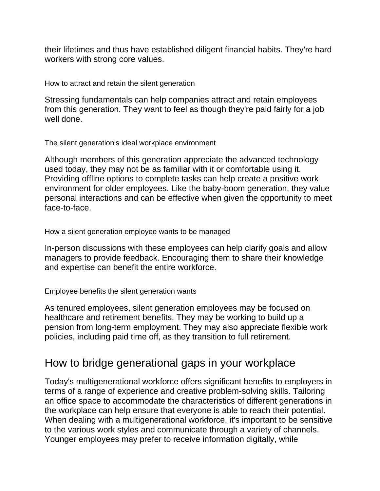their lifetimes and thus have established diligent financial habits. They're hard workers with strong core values.

How to attract and retain the silent generation

Stressing fundamentals can help companies attract and retain employees from this generation. They want to feel as though they're paid fairly for a job well done.

The silent generation's ideal workplace environment

Although members of this generation appreciate the advanced technology used today, they may not be as familiar with it or comfortable using it. Providing offline options to complete tasks can help create a positive work environment for older employees. Like the baby-boom generation, they value personal interactions and can be effective when given the opportunity to meet face-to-face.

How a silent generation employee wants to be managed

In-person discussions with these employees can help clarify goals and allow managers to provide feedback. Encouraging them to share their knowledge and expertise can benefit the entire workforce.

Employee benefits the silent generation wants

As tenured employees, silent generation employees may be focused on healthcare and retirement benefits. They may be working to build up a pension from long-term employment. They may also appreciate flexible work policies, including paid time off, as they transition to full retirement.

# How to bridge generational gaps in your workplace

Today's multigenerational workforce offers significant benefits to employers in terms of a range of experience and creative problem-solving skills. Tailoring an office space to accommodate the characteristics of different generations in the workplace can help ensure that everyone is able to reach their potential. When dealing with a multigenerational workforce, it's important to be sensitive to the various work styles and communicate through a variety of channels. Younger employees may prefer to receive information digitally, while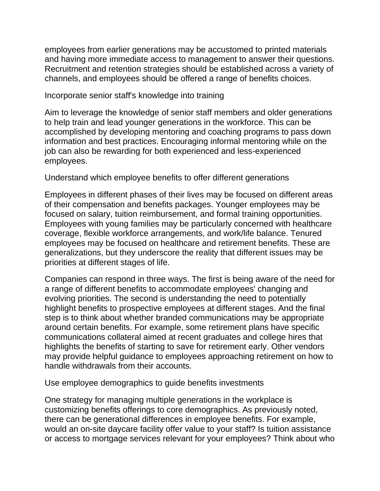employees from earlier generations may be accustomed to printed materials and having more immediate access to management to answer their questions. Recruitment and retention strategies should be established across a variety of channels, and employees should be offered a range of benefits choices.

Incorporate senior staff's knowledge into training

Aim to leverage the knowledge of senior staff members and older generations to help train and lead younger generations in the workforce. This can be accomplished by developing mentoring and coaching programs to pass down information and best practices. Encouraging informal mentoring while on the job can also be rewarding for both experienced and less-experienced employees.

Understand which employee benefits to offer different generations

Employees in different phases of their lives may be focused on different areas of their compensation and benefits packages. Younger employees may be focused on salary, tuition reimbursement, and formal training opportunities. Employees with young families may be particularly concerned with healthcare coverage, flexible workforce arrangements, and work/life balance. Tenured employees may be focused on healthcare and retirement benefits. These are generalizations, but they underscore the reality that different issues may be priorities at different stages of life.

Companies can respond in three ways. The first is being aware of the need for a range of different benefits to accommodate employees' changing and evolving priorities. The second is understanding the need to potentially highlight benefits to prospective employees at different stages. And the final step is to think about whether branded communications may be appropriate around certain benefits. For example, some retirement plans have specific communications collateral aimed at recent graduates and college hires that highlights the benefits of starting to save for retirement early. Other vendors may provide helpful guidance to employees approaching retirement on how to handle withdrawals from their accounts.

Use employee demographics to guide benefits investments

One strategy for managing multiple generations in the workplace is customizing benefits offerings to core demographics. As previously noted, there can be generational differences in employee benefits. For example, would an on-site daycare facility offer value to your staff? Is tuition assistance or access to mortgage services relevant for your employees? Think about who